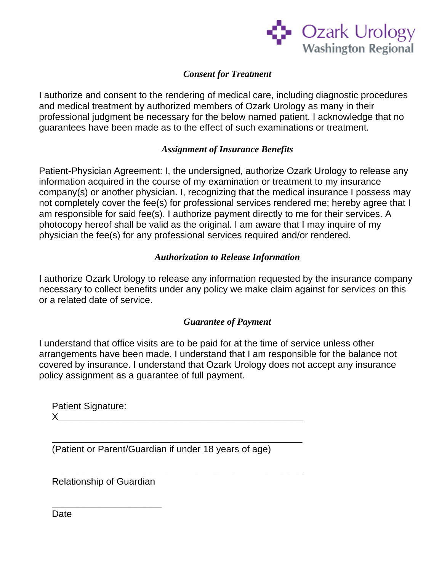

## *Consent for Treatment*

I authorize and consent to the rendering of medical care, including diagnostic procedures and medical treatment by authorized members of Ozark Urology as many in their professional judgment be necessary for the below named patient. I acknowledge that no guarantees have been made as to the effect of such examinations or treatment.

## *Assignment of Insurance Benefits*

Patient-Physician Agreement: I, the undersigned, authorize Ozark Urology to release any information acquired in the course of my examination or treatment to my insurance company(s) or another physician. I, recognizing that the medical insurance I possess may not completely cover the fee(s) for professional services rendered me; hereby agree that I am responsible for said fee(s). I authorize payment directly to me for their services. A photocopy hereof shall be valid as the original. I am aware that I may inquire of my physician the fee(s) for any professional services required and/or rendered.

### *Authorization to Release Information*

I authorize Ozark Urology to release any information requested by the insurance company necessary to collect benefits under any policy we make claim against for services on this or a related date of service.

#### *Guarantee of Payment*

I understand that office visits are to be paid for at the time of service unless other arrangements have been made. I understand that I am responsible for the balance not covered by insurance. I understand that Ozark Urology does not accept any insurance policy assignment as a guarantee of full payment.

Patient Signature:  $\chi$ 

**\_\_\_\_\_\_\_\_\_\_\_\_\_\_\_\_\_\_\_\_\_\_\_\_\_\_\_\_\_\_\_\_\_\_\_\_\_\_\_\_\_\_\_\_\_\_\_\_**  (Patient or Parent/Guardian if under 18 years of age)

**\_\_\_\_\_\_\_\_\_\_\_\_\_\_\_\_\_\_\_\_\_\_\_\_\_\_\_\_\_\_\_\_\_\_\_\_\_\_\_\_\_\_\_\_\_\_\_\_** 

Relationship of Guardian

**\_\_\_\_\_\_\_\_\_\_\_\_\_\_\_\_\_\_\_\_\_** 

**Date**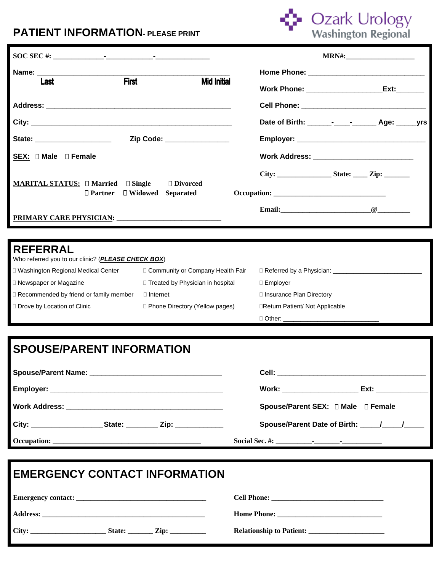## **PATIENT INFORMATION- PLEASE PRINT**



|                                                                                                                                                                                                                                                        |                                    |                                       | <b>MRN#:</b>                                                                                                                                                                                                                   |  |
|--------------------------------------------------------------------------------------------------------------------------------------------------------------------------------------------------------------------------------------------------------|------------------------------------|---------------------------------------|--------------------------------------------------------------------------------------------------------------------------------------------------------------------------------------------------------------------------------|--|
| Name: Name and the state of the state of the state of the state of the state of the state of the state of the state of the state of the state of the state of the state of the state of the state of the state of the state of<br><b>First</b><br>Last | <b>Mid Initial</b>                 |                                       | Ext: The contract of the contract of the contract of the contract of the contract of the contract of the contract of the contract of the contract of the contract of the contract of the contract of the contract of the contr |  |
|                                                                                                                                                                                                                                                        |                                    |                                       |                                                                                                                                                                                                                                |  |
|                                                                                                                                                                                                                                                        |                                    |                                       | Date of Birth: - - Age: yrs                                                                                                                                                                                                    |  |
| State: _______________________                                                                                                                                                                                                                         | Zip Code: _______________          |                                       |                                                                                                                                                                                                                                |  |
| SEX: D Male D Female                                                                                                                                                                                                                                   |                                    |                                       | Work Address: ______________________________                                                                                                                                                                                   |  |
| □ Divorced<br><b>MARITAL STATUS:</b> $\Box$ Married $\Box$ Single<br>$\Box$ Partner<br>$\Box$ Widowed<br><b>Separated</b>                                                                                                                              |                                    |                                       |                                                                                                                                                                                                                                |  |
|                                                                                                                                                                                                                                                        |                                    |                                       |                                                                                                                                                                                                                                |  |
| <b>REFERRAL</b>                                                                                                                                                                                                                                        |                                    |                                       |                                                                                                                                                                                                                                |  |
| Who referred you to our clinic? (PLEASE CHECK BOX)                                                                                                                                                                                                     |                                    |                                       |                                                                                                                                                                                                                                |  |
| □ Washington Regional Medical Center                                                                                                                                                                                                                   | Community or Company Health Fair   |                                       |                                                                                                                                                                                                                                |  |
| □ Newspaper or Magazine                                                                                                                                                                                                                                | □ Treated by Physician in hospital | □ Employer                            |                                                                                                                                                                                                                                |  |
| □ Recommended by friend or family member                                                                                                                                                                                                               | $\Box$ Internet                    | □ Insurance Plan Directory            |                                                                                                                                                                                                                                |  |
| D Drove by Location of Clinic                                                                                                                                                                                                                          | □ Phone Directory (Yellow pages)   | <b>IReturn Patient/Not Applicable</b> |                                                                                                                                                                                                                                |  |
|                                                                                                                                                                                                                                                        |                                    | □ Other: ________________             |                                                                                                                                                                                                                                |  |

## **SPOUSE/PARENT INFORMATION**

|                                                                    |  | Work: ______________________       | Ext: _______________ |
|--------------------------------------------------------------------|--|------------------------------------|----------------------|
|                                                                    |  | Spouse/Parent SEX: 0 Male 0 Female |                      |
| City: _______________________State: __________ Zip: ______________ |  |                                    |                      |
|                                                                    |  |                                    |                      |

| <b>EMERGENCY CONTACT INFORMATION</b>              |  |  |  |
|---------------------------------------------------|--|--|--|
|                                                   |  |  |  |
|                                                   |  |  |  |
| City: $\qquad \qquad$ State: $\qquad \qquad$ Zip: |  |  |  |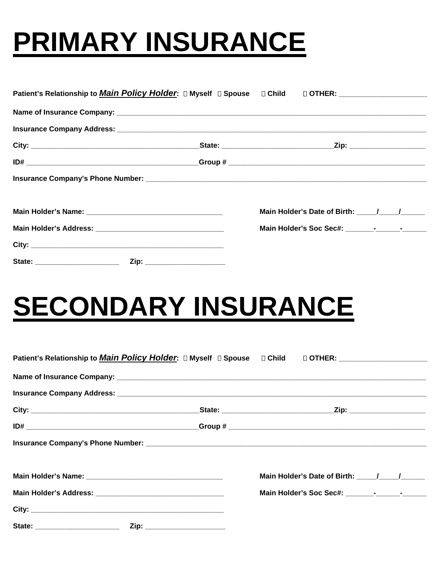# **PRIMARY INSURANCE**

|  | Main Holder's Date of Birth: \[\sqrt \] \[\sqrt \] |  |
|--|----------------------------------------------------|--|
|  |                                                    |  |
|  |                                                    |  |
|  |                                                    |  |

# **SECONDARY INSURANCE**

|                                  |                              | Main Holder's Date of Birth: \[\sqrt \] \[\sqrt \] |  |
|----------------------------------|------------------------------|----------------------------------------------------|--|
|                                  |                              |                                                    |  |
|                                  |                              |                                                    |  |
| State: _________________________ | Zip: _______________________ |                                                    |  |